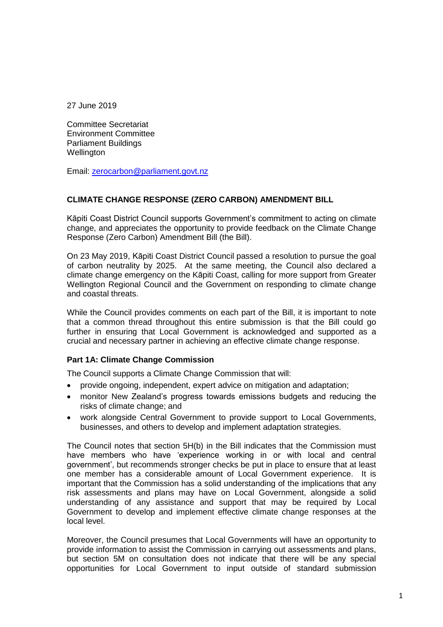27 June 2019

Committee Secretariat Environment Committee Parliament Buildings **Wellington** 

Email: zerocarbon@parliament.govt.nz

## **CLIMATE CHANGE RESPONSE (ZERO CARBON) AMENDMENT BILL**

Kāpiti Coast District Council supports Government's commitment to acting on climate change, and appreciates the opportunity to provide feedback on the Climate Change Response (Zero Carbon) Amendment Bill (the Bill).

On 23 May 2019, Kāpiti Coast District Council passed a resolution to pursue the goal of carbon neutrality by 2025. At the same meeting, the Council also declared a climate change emergency on the Kāpiti Coast, calling for more support from Greater Wellington Regional Council and the Government on responding to climate change and coastal threats.

While the Council provides comments on each part of the Bill, it is important to note that a common thread throughout this entire submission is that the Bill could go further in ensuring that Local Government is acknowledged and supported as a crucial and necessary partner in achieving an effective climate change response.

## **Part 1A: Climate Change Commission**

The Council supports a Climate Change Commission that will:

- provide ongoing, independent, expert advice on mitigation and adaptation;
- monitor New Zealand's progress towards emissions budgets and reducing the risks of climate change; and
- work alongside Central Government to provide support to Local Governments, businesses, and others to develop and implement adaptation strategies.

The Council notes that section 5H(b) in the Bill indicates that the Commission must have members who have 'experience working in or with local and central government', but recommends stronger checks be put in place to ensure that at least one member has a considerable amount of Local Government experience. It is important that the Commission has a solid understanding of the implications that any risk assessments and plans may have on Local Government, alongside a solid understanding of any assistance and support that may be required by Local Government to develop and implement effective climate change responses at the local level.

Moreover, the Council presumes that Local Governments will have an opportunity to provide information to assist the Commission in carrying out assessments and plans, but section 5M on consultation does not indicate that there will be any special opportunities for Local Government to input outside of standard submission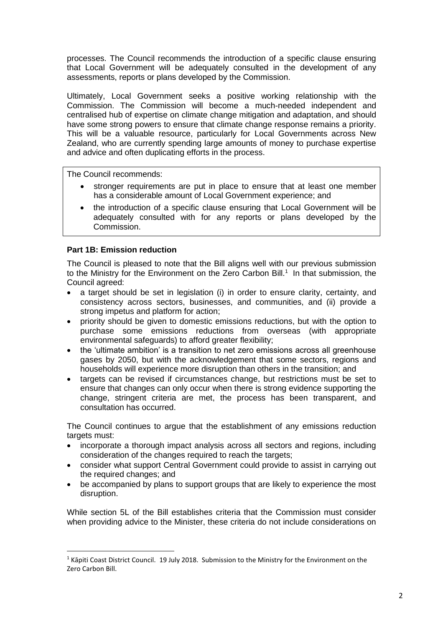processes. The Council recommends the introduction of a specific clause ensuring that Local Government will be adequately consulted in the development of any assessments, reports or plans developed by the Commission.

Ultimately, Local Government seeks a positive working relationship with the Commission. The Commission will become a much-needed independent and centralised hub of expertise on climate change mitigation and adaptation, and should have some strong powers to ensure that climate change response remains a priority. This will be a valuable resource, particularly for Local Governments across New Zealand, who are currently spending large amounts of money to purchase expertise and advice and often duplicating efforts in the process.

The Council recommends:

- stronger requirements are put in place to ensure that at least one member has a considerable amount of Local Government experience; and
- the introduction of a specific clause ensuring that Local Government will be adequately consulted with for any reports or plans developed by the Commission.

## **Part 1B: Emission reduction**

 $\overline{a}$ 

The Council is pleased to note that the Bill aligns well with our previous submission to the Ministry for the Environment on the Zero Carbon Bill.<sup>1</sup> In that submission, the Council agreed:

- a target should be set in legislation (i) in order to ensure clarity, certainty, and consistency across sectors, businesses, and communities, and (ii) provide a strong impetus and platform for action;
- priority should be given to domestic emissions reductions, but with the option to purchase some emissions reductions from overseas (with appropriate environmental safeguards) to afford greater flexibility;
- the 'ultimate ambition' is a transition to net zero emissions across all greenhouse gases by 2050, but with the acknowledgement that some sectors, regions and households will experience more disruption than others in the transition; and
- targets can be revised if circumstances change, but restrictions must be set to ensure that changes can only occur when there is strong evidence supporting the change, stringent criteria are met, the process has been transparent, and consultation has occurred.

The Council continues to argue that the establishment of any emissions reduction targets must:

- incorporate a thorough impact analysis across all sectors and regions, including consideration of the changes required to reach the targets;
- consider what support Central Government could provide to assist in carrying out the required changes; and
- be accompanied by plans to support groups that are likely to experience the most disruption.

While section 5L of the Bill establishes criteria that the Commission must consider when providing advice to the Minister, these criteria do not include considerations on

 $1$  Kāpiti Coast District Council. 19 July 2018. Submission to the Ministry for the Environment on the Zero Carbon Bill.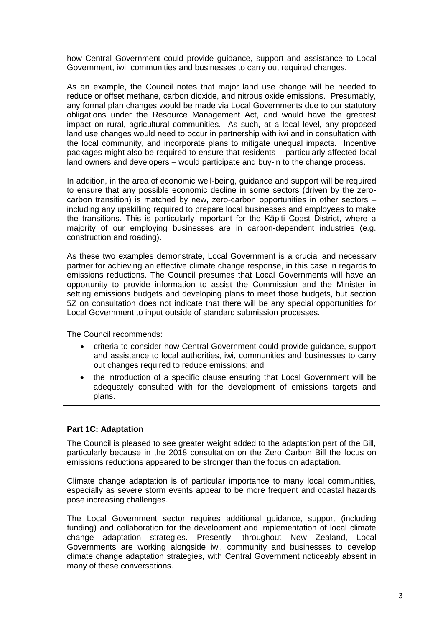how Central Government could provide guidance, support and assistance to Local Government, iwi, communities and businesses to carry out required changes.

As an example, the Council notes that major land use change will be needed to reduce or offset methane, carbon dioxide, and nitrous oxide emissions. Presumably, any formal plan changes would be made via Local Governments due to our statutory obligations under the Resource Management Act, and would have the greatest impact on rural, agricultural communities. As such, at a local level, any proposed land use changes would need to occur in partnership with iwi and in consultation with the local community, and incorporate plans to mitigate unequal impacts. Incentive packages might also be required to ensure that residents – particularly affected local land owners and developers – would participate and buy-in to the change process.

In addition, in the area of economic well-being, guidance and support will be required to ensure that any possible economic decline in some sectors (driven by the zerocarbon transition) is matched by new, zero-carbon opportunities in other sectors – including any upskilling required to prepare local businesses and employees to make the transitions. This is particularly important for the Kāpiti Coast District, where a majority of our employing businesses are in carbon-dependent industries (e.g. construction and roading).

As these two examples demonstrate, Local Government is a crucial and necessary partner for achieving an effective climate change response, in this case in regards to emissions reductions. The Council presumes that Local Governments will have an opportunity to provide information to assist the Commission and the Minister in setting emissions budgets and developing plans to meet those budgets, but section 5Z on consultation does not indicate that there will be any special opportunities for Local Government to input outside of standard submission processes.

The Council recommends:

- criteria to consider how Central Government could provide guidance, support and assistance to local authorities, iwi, communities and businesses to carry out changes required to reduce emissions; and
- the introduction of a specific clause ensuring that Local Government will be adequately consulted with for the development of emissions targets and plans.

## **Part 1C: Adaptation**

The Council is pleased to see greater weight added to the adaptation part of the Bill, particularly because in the 2018 consultation on the Zero Carbon Bill the focus on emissions reductions appeared to be stronger than the focus on adaptation.

Climate change adaptation is of particular importance to many local communities, especially as severe storm events appear to be more frequent and coastal hazards pose increasing challenges.

The Local Government sector requires additional guidance, support (including funding) and collaboration for the development and implementation of local climate change adaptation strategies. Presently, throughout New Zealand, Local Governments are working alongside iwi, community and businesses to develop climate change adaptation strategies, with Central Government noticeably absent in many of these conversations.